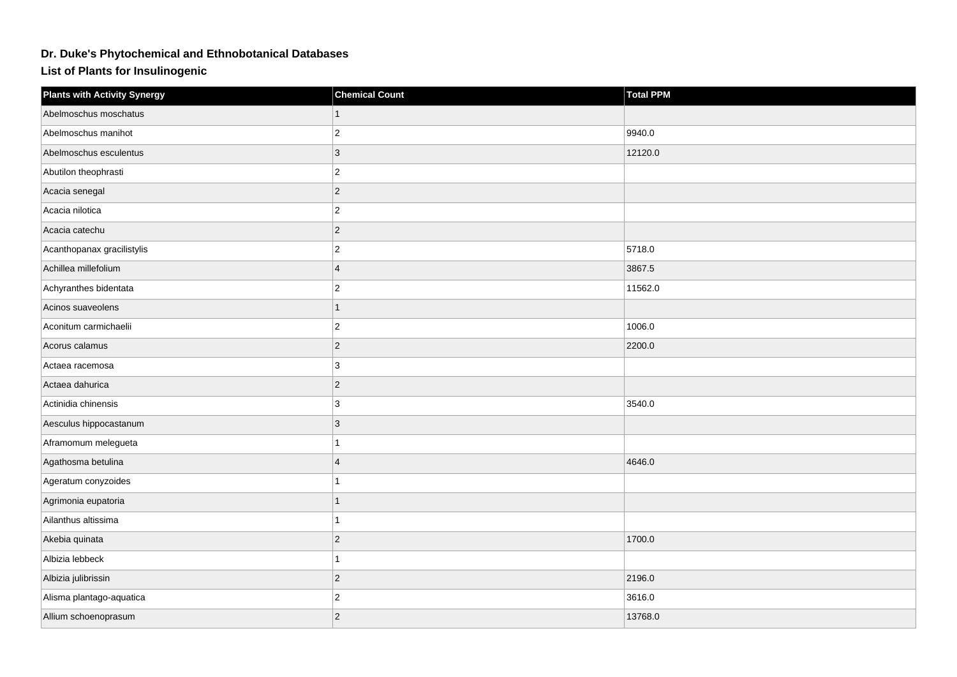## **Dr. Duke's Phytochemical and Ethnobotanical Databases**

**List of Plants for Insulinogenic**

| <b>Plants with Activity Synergy</b> | <b>Chemical Count</b> | <b>Total PPM</b> |
|-------------------------------------|-----------------------|------------------|
| Abelmoschus moschatus               |                       |                  |
| Abelmoschus manihot                 | $ 2\rangle$           | 9940.0           |
| Abelmoschus esculentus              | $ 3\rangle$           | 12120.0          |
| Abutilon theophrasti                | $ 2\rangle$           |                  |
| Acacia senegal                      | $ 2\rangle$           |                  |
| Acacia nilotica                     | $ 2\rangle$           |                  |
| Acacia catechu                      | $ 2\rangle$           |                  |
| Acanthopanax gracilistylis          | $\vert$ 2             | 5718.0           |
| Achillea millefolium                | $\overline{4}$        | 3867.5           |
| Achyranthes bidentata               | $ 2\rangle$           | 11562.0          |
| Acinos suaveolens                   | $\overline{1}$        |                  |
| Aconitum carmichaelii               | $ 2\rangle$           | 1006.0           |
| Acorus calamus                      | $ 2\rangle$           | 2200.0           |
| Actaea racemosa                     | 3                     |                  |
| Actaea dahurica                     | $ 2\rangle$           |                  |
| Actinidia chinensis                 | 3                     | 3540.0           |
| Aesculus hippocastanum              | 3                     |                  |
| Aframomum melegueta                 | 1                     |                  |
| Agathosma betulina                  | 4                     | 4646.0           |
| Ageratum conyzoides                 | 1                     |                  |
| Agrimonia eupatoria                 | 1                     |                  |
| Ailanthus altissima                 | 1                     |                  |
| Akebia quinata                      | $ 2\rangle$           | 1700.0           |
| Albizia lebbeck                     | 1                     |                  |
| Albizia julibrissin                 | $ 2\rangle$           | 2196.0           |
| Alisma plantago-aquatica            | $\overline{2}$        | 3616.0           |
| Allium schoenoprasum                | $ 2\rangle$           | 13768.0          |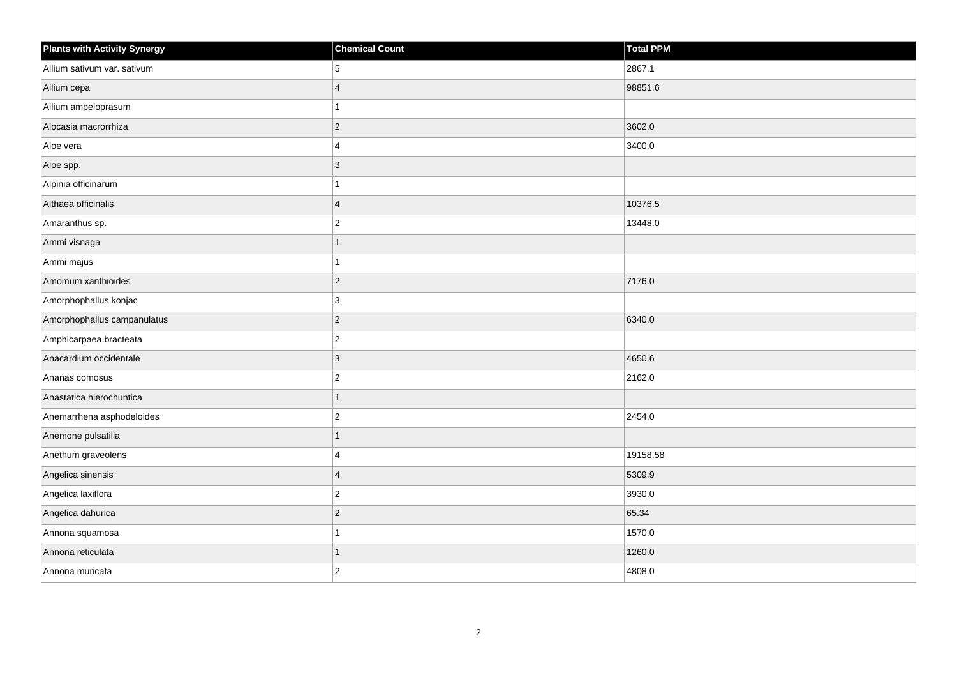| <b>Plants with Activity Synergy</b> | <b>Chemical Count</b>   | Total PPM |
|-------------------------------------|-------------------------|-----------|
| Allium sativum var. sativum         | 5                       | 2867.1    |
| Allium cepa                         | $\overline{\mathbf{A}}$ | 98851.6   |
| Allium ampeloprasum                 | $\mathbf{1}$            |           |
| Alocasia macrorrhiza                | $ 2\rangle$             | 3602.0    |
| Aloe vera                           | $\overline{\mathbf{A}}$ | 3400.0    |
| Aloe spp.                           | $ 3\rangle$             |           |
| Alpinia officinarum                 | 1                       |           |
| Althaea officinalis                 | $\overline{4}$          | 10376.5   |
| Amaranthus sp.                      | $\overline{2}$          | 13448.0   |
| Ammi visnaga                        | $\overline{1}$          |           |
| Ammi majus                          | 1                       |           |
| Amomum xanthioides                  | $ 2\rangle$             | 7176.0    |
| Amorphophallus konjac               | $ 3\rangle$             |           |
| Amorphophallus campanulatus         | $ 2\rangle$             | 6340.0    |
| Amphicarpaea bracteata              | $ 2\rangle$             |           |
| Anacardium occidentale              | $ 3\rangle$             | 4650.6    |
| Ananas comosus                      | $\overline{2}$          | 2162.0    |
| Anastatica hierochuntica            | $\overline{1}$          |           |
| Anemarrhena asphodeloides           | $ 2\rangle$             | 2454.0    |
| Anemone pulsatilla                  | 1                       |           |
| Anethum graveolens                  | 4                       | 19158.58  |
| Angelica sinensis                   | $\overline{4}$          | 5309.9    |
| Angelica laxiflora                  | $ 2\rangle$             | 3930.0    |
| Angelica dahurica                   | $ 2\rangle$             | 65.34     |
| Annona squamosa                     | $\mathbf{1}$            | 1570.0    |
| Annona reticulata                   | 1                       | 1260.0    |
| Annona muricata                     | $ 2\rangle$             | 4808.0    |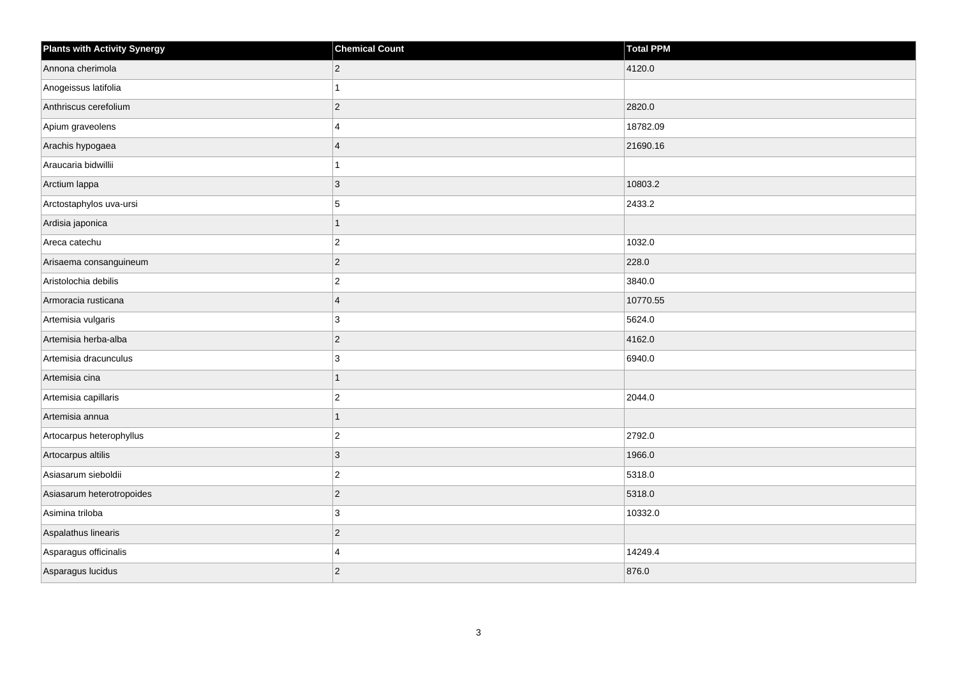| <b>Plants with Activity Synergy</b> | <b>Chemical Count</b> | <b>Total PPM</b> |
|-------------------------------------|-----------------------|------------------|
| Annona cherimola                    | $\overline{2}$        | 4120.0           |
| Anogeissus latifolia                |                       |                  |
| Anthriscus cerefolium               | $\overline{2}$        | 2820.0           |
| Apium graveolens                    | 4                     | 18782.09         |
| Arachis hypogaea                    | $\overline{A}$        | 21690.16         |
| Araucaria bidwillii                 |                       |                  |
| Arctium lappa                       | 3                     | 10803.2          |
| Arctostaphylos uva-ursi             | 5                     | 2433.2           |
| Ardisia japonica                    |                       |                  |
| Areca catechu                       | $\overline{2}$        | 1032.0           |
| Arisaema consanguineum              | $\overline{c}$        | 228.0            |
| Aristolochia debilis                | $\overline{2}$        | 3840.0           |
| Armoracia rusticana                 | $\overline{4}$        | 10770.55         |
| Artemisia vulgaris                  | 3                     | 5624.0           |
| Artemisia herba-alba                | $\overline{2}$        | 4162.0           |
| Artemisia dracunculus               | 3                     | 6940.0           |
| Artemisia cina                      |                       |                  |
| Artemisia capillaris                | $\overline{c}$        | 2044.0           |
| Artemisia annua                     | 1                     |                  |
| Artocarpus heterophyllus            | $\overline{2}$        | 2792.0           |
| Artocarpus altilis                  | 3                     | 1966.0           |
| Asiasarum sieboldii                 | $\overline{2}$        | 5318.0           |
| Asiasarum heterotropoides           | $\overline{c}$        | 5318.0           |
| Asimina triloba                     | 3                     | 10332.0          |
| Aspalathus linearis                 | $\overline{2}$        |                  |
| Asparagus officinalis               | 4                     | 14249.4          |
| Asparagus lucidus                   | $\overline{2}$        | 876.0            |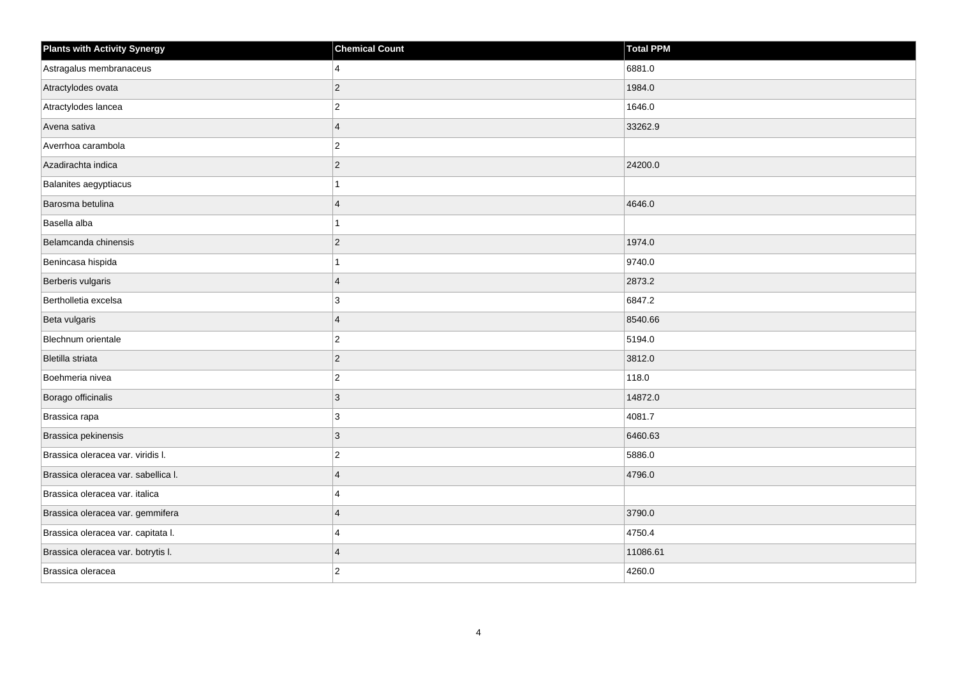| <b>Plants with Activity Synergy</b> | <b>Chemical Count</b>   | <b>Total PPM</b> |
|-------------------------------------|-------------------------|------------------|
| Astragalus membranaceus             | 4                       | 6881.0           |
| Atractylodes ovata                  | $\overline{2}$          | 1984.0           |
| Atractylodes lancea                 | $\overline{\mathbf{c}}$ | 1646.0           |
| Avena sativa                        | $\overline{\mathbf{A}}$ | 33262.9          |
| Averrhoa carambola                  | $\overline{2}$          |                  |
| Azadirachta indica                  | $\overline{c}$          | 24200.0          |
| Balanites aegyptiacus               |                         |                  |
| Barosma betulina                    | $\boldsymbol{\Delta}$   | 4646.0           |
| Basella alba                        |                         |                  |
| Belamcanda chinensis                | $\overline{c}$          | 1974.0           |
| Benincasa hispida                   |                         | 9740.0           |
| Berberis vulgaris                   | $\overline{4}$          | 2873.2           |
| Bertholletia excelsa                | 3                       | 6847.2           |
| Beta vulgaris                       | $\overline{4}$          | 8540.66          |
| Blechnum orientale                  | $\overline{2}$          | 5194.0           |
| Bletilla striata                    | $\overline{2}$          | 3812.0           |
| Boehmeria nivea                     | $\overline{2}$          | 118.0            |
| Borago officinalis                  | 3                       | 14872.0          |
| Brassica rapa                       | 3                       | 4081.7           |
| Brassica pekinensis                 | 3                       | 6460.63          |
| Brassica oleracea var. viridis I.   | $\overline{2}$          | 5886.0           |
| Brassica oleracea var. sabellica I. | $\boldsymbol{\Delta}$   | 4796.0           |
| Brassica oleracea var. italica      | 4                       |                  |
| Brassica oleracea var. gemmifera    | $\boldsymbol{\Delta}$   | 3790.0           |
| Brassica oleracea var. capitata I.  | $\Delta$                | 4750.4           |
| Brassica oleracea var. botrytis I.  | $\overline{\mathbf{4}}$ | 11086.61         |
| Brassica oleracea                   | $\overline{2}$          | 4260.0           |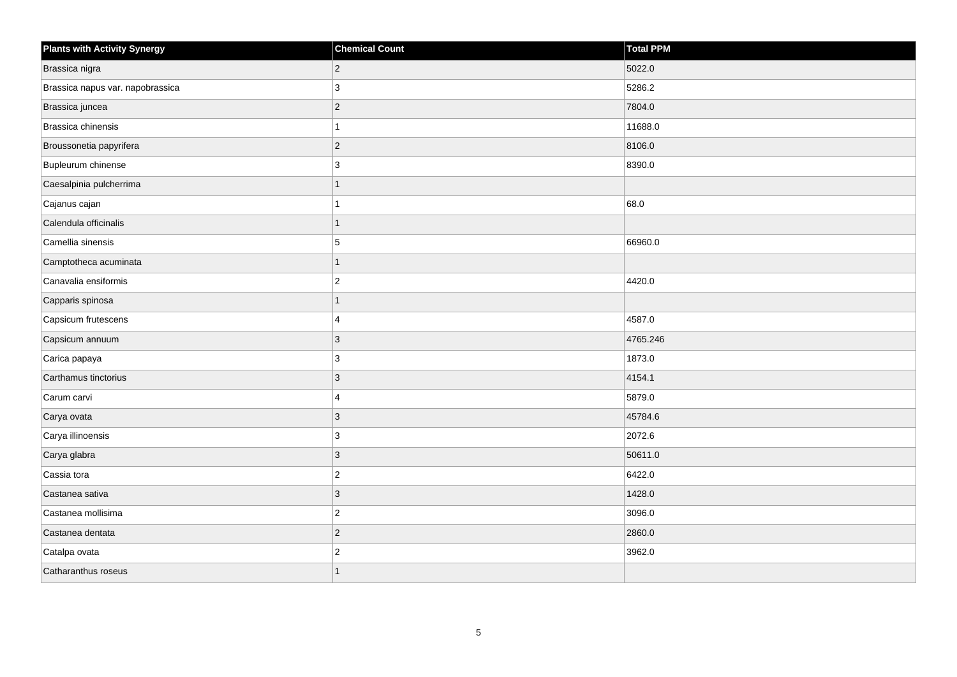| <b>Plants with Activity Synergy</b> | <b>Chemical Count</b> | <b>Total PPM</b> |
|-------------------------------------|-----------------------|------------------|
| Brassica nigra                      | $\overline{2}$        | 5022.0           |
| Brassica napus var. napobrassica    | 3                     | 5286.2           |
| Brassica juncea                     | $\overline{c}$        | 7804.0           |
| Brassica chinensis                  | 1                     | 11688.0          |
| Broussonetia papyrifera             | $\overline{2}$        | 8106.0           |
| Bupleurum chinense                  | 3                     | 8390.0           |
| Caesalpinia pulcherrima             | $\mathbf{1}$          |                  |
| Cajanus cajan                       |                       | 68.0             |
| Calendula officinalis               | $\overline{1}$        |                  |
| Camellia sinensis                   | 5                     | 66960.0          |
| Camptotheca acuminata               | 1                     |                  |
| Canavalia ensiformis                | $\overline{c}$        | 4420.0           |
| Capparis spinosa                    | $\mathbf{1}$          |                  |
| Capsicum frutescens                 | 4                     | 4587.0           |
| Capsicum annuum                     | $\mathbf{3}$          | 4765.246         |
| Carica papaya                       | 3                     | 1873.0           |
| Carthamus tinctorius                | 3                     | 4154.1           |
| Carum carvi                         | 4                     | 5879.0           |
| Carya ovata                         | $\overline{3}$        | 45784.6          |
| Carya illinoensis                   | 3                     | 2072.6           |
| Carya glabra                        | $\mathbf{3}$          | 50611.0          |
| Cassia tora                         | $\boldsymbol{2}$      | 6422.0           |
| Castanea sativa                     | 3                     | 1428.0           |
| Castanea mollisima                  | $\overline{c}$        | 3096.0           |
| Castanea dentata                    | $\overline{c}$        | 2860.0           |
| Catalpa ovata                       | $\overline{c}$        | 3962.0           |
| Catharanthus roseus                 | $\overline{1}$        |                  |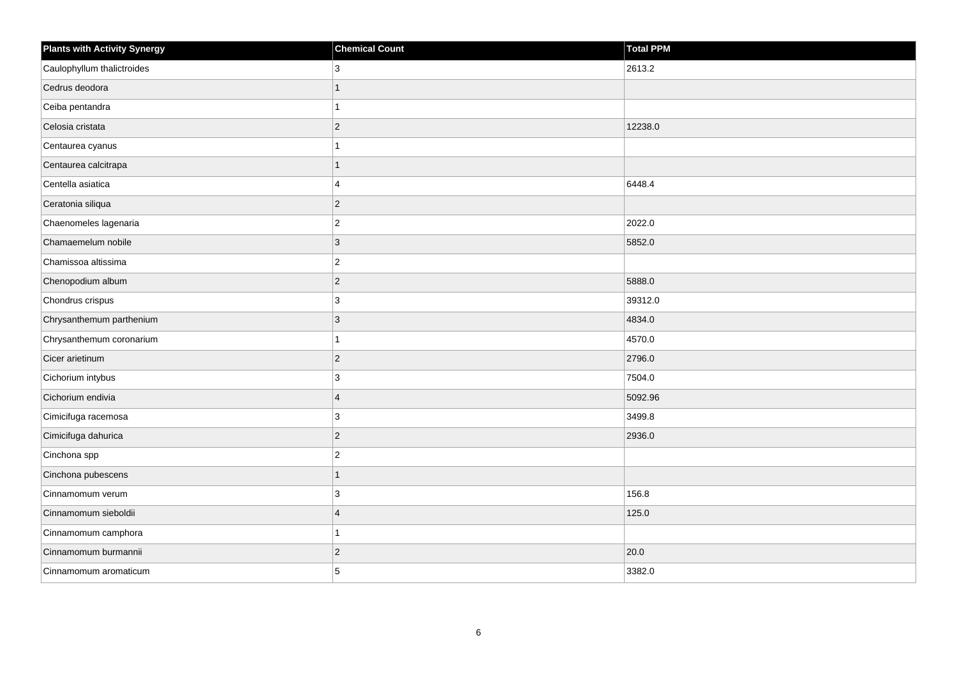| <b>Plants with Activity Synergy</b> | <b>Chemical Count</b>   | Total PPM |
|-------------------------------------|-------------------------|-----------|
| Caulophyllum thalictroides          | 3                       | 2613.2    |
| Cedrus deodora                      |                         |           |
| Ceiba pentandra                     |                         |           |
| Celosia cristata                    | $\overline{2}$          | 12238.0   |
| Centaurea cyanus                    |                         |           |
| Centaurea calcitrapa                |                         |           |
| Centella asiatica                   | 4                       | 6448.4    |
| Ceratonia siliqua                   | $\overline{2}$          |           |
| Chaenomeles lagenaria               | $\overline{2}$          | 2022.0    |
| Chamaemelum nobile                  | $\overline{3}$          | 5852.0    |
| Chamissoa altissima                 | $\overline{2}$          |           |
| Chenopodium album                   | $\overline{2}$          | 5888.0    |
| Chondrus crispus                    | $\mathbf{3}$            | 39312.0   |
| Chrysanthemum parthenium            | 3                       | 4834.0    |
| Chrysanthemum coronarium            |                         | 4570.0    |
| Cicer arietinum                     | $\overline{2}$          | 2796.0    |
| Cichorium intybus                   | 3                       | 7504.0    |
| Cichorium endivia                   | $\overline{\mathbf{A}}$ | 5092.96   |
| Cimicifuga racemosa                 | 3                       | 3499.8    |
| Cimicifuga dahurica                 | $\overline{2}$          | 2936.0    |
| Cinchona spp                        | $\overline{2}$          |           |
| Cinchona pubescens                  | 1                       |           |
| Cinnamomum verum                    | 3                       | 156.8     |
| Cinnamomum sieboldii                | $\boldsymbol{\Delta}$   | 125.0     |
| Cinnamomum camphora                 |                         |           |
| Cinnamomum burmannii                | $\overline{2}$          | 20.0      |
| Cinnamomum aromaticum               | 5                       | 3382.0    |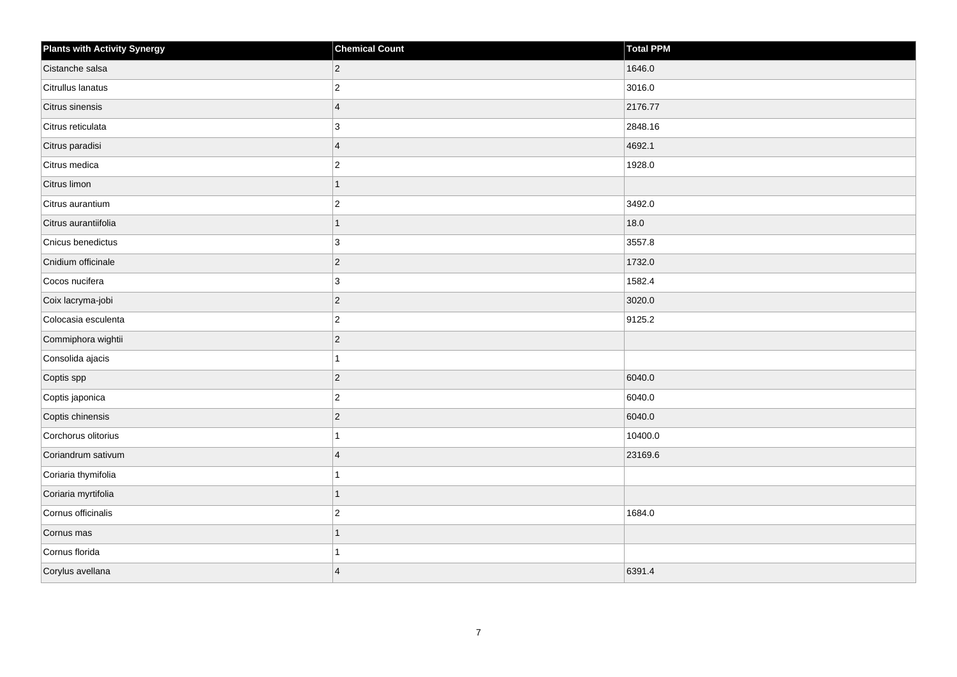| <b>Plants with Activity Synergy</b> | <b>Chemical Count</b>   | Total PPM |
|-------------------------------------|-------------------------|-----------|
| Cistanche salsa                     | $\overline{2}$          | 1646.0    |
| Citrullus lanatus                   | $\overline{c}$          | 3016.0    |
| Citrus sinensis                     | $\overline{4}$          | 2176.77   |
| Citrus reticulata                   | 3                       | 2848.16   |
| Citrus paradisi                     | $\overline{\mathbf{A}}$ | 4692.1    |
| Citrus medica                       | $\overline{\mathbf{c}}$ | 1928.0    |
| Citrus limon                        | 1                       |           |
| Citrus aurantium                    | $\overline{2}$          | 3492.0    |
| Citrus aurantiifolia                | 1                       | 18.0      |
| Cnicus benedictus                   | 3                       | 3557.8    |
| Cnidium officinale                  | $\overline{2}$          | 1732.0    |
| Cocos nucifera                      | 3                       | 1582.4    |
| Coix lacryma-jobi                   | $\overline{2}$          | 3020.0    |
| Colocasia esculenta                 | $\overline{c}$          | 9125.2    |
| Commiphora wightii                  | $\overline{c}$          |           |
| Consolida ajacis                    |                         |           |
| Coptis spp                          | $\overline{2}$          | 6040.0    |
| Coptis japonica                     | $\overline{2}$          | 6040.0    |
| Coptis chinensis                    | $\overline{2}$          | 6040.0    |
| Corchorus olitorius                 |                         | 10400.0   |
| Coriandrum sativum                  | $\boldsymbol{\Delta}$   | 23169.6   |
| Coriaria thymifolia                 |                         |           |
| Coriaria myrtifolia                 |                         |           |
| Cornus officinalis                  | $\overline{c}$          | 1684.0    |
| Cornus mas                          | 1                       |           |
| Cornus florida                      |                         |           |
| Corylus avellana                    | $\overline{\mathbf{A}}$ | 6391.4    |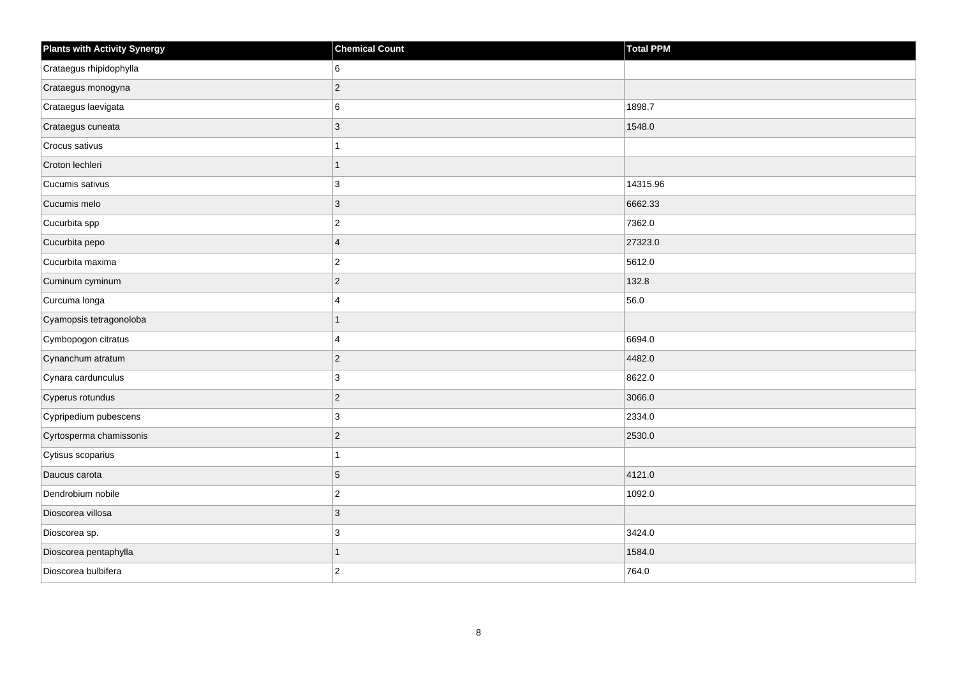| <b>Plants with Activity Synergy</b> | <b>Chemical Count</b> | <b>Total PPM</b> |
|-------------------------------------|-----------------------|------------------|
| Crataegus rhipidophylla             | 6                     |                  |
| Crataegus monogyna                  | $\overline{2}$        |                  |
| Crataegus laevigata                 | 6                     | 1898.7           |
| Crataegus cuneata                   | $\overline{3}$        | 1548.0           |
| Crocus sativus                      |                       |                  |
| Croton lechleri                     | 1                     |                  |
| Cucumis sativus                     | 3                     | 14315.96         |
| Cucumis melo                        | 3                     | 6662.33          |
| Cucurbita spp                       | $\overline{c}$        | 7362.0           |
| Cucurbita pepo                      | $\overline{4}$        | 27323.0          |
| Cucurbita maxima                    | $\overline{2}$        | 5612.0           |
| Cuminum cyminum                     | $\overline{2}$        | 132.8            |
| Curcuma longa                       | 4                     | 56.0             |
| Cyamopsis tetragonoloba             | 1                     |                  |
| Cymbopogon citratus                 | 4                     | 6694.0           |
| Cynanchum atratum                   | $\overline{2}$        | 4482.0           |
| Cynara cardunculus                  | 3                     | 8622.0           |
| Cyperus rotundus                    | $\overline{2}$        | 3066.0           |
| Cypripedium pubescens               | 3                     | 2334.0           |
| Cyrtosperma chamissonis             | $\overline{2}$        | 2530.0           |
| Cytisus scoparius                   |                       |                  |
| Daucus carota                       | 5                     | 4121.0           |
| Dendrobium nobile                   | $\overline{2}$        | 1092.0           |
| Dioscorea villosa                   | 3                     |                  |
| Dioscorea sp.                       | 3                     | 3424.0           |
| Dioscorea pentaphylla               | 1                     | 1584.0           |
| Dioscorea bulbifera                 | $\overline{2}$        | 764.0            |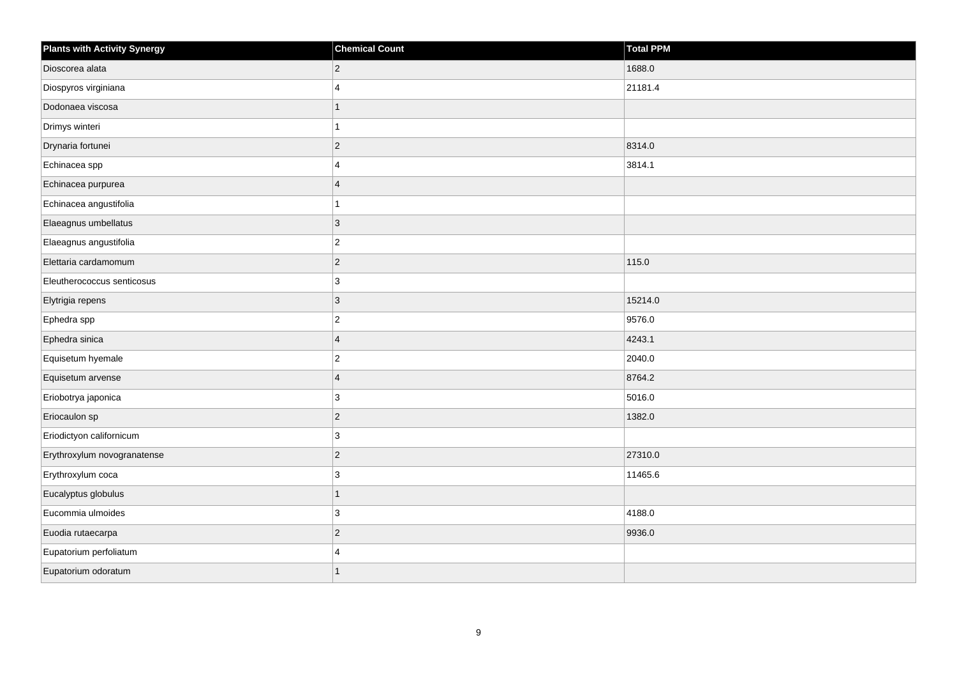| <b>Plants with Activity Synergy</b> | <b>Chemical Count</b>   | <b>Total PPM</b> |
|-------------------------------------|-------------------------|------------------|
| Dioscorea alata                     | $\overline{c}$          | 1688.0           |
| Diospyros virginiana                | $\Delta$                | 21181.4          |
| Dodonaea viscosa                    | 1                       |                  |
| Drimys winteri                      | 1                       |                  |
| Drynaria fortunei                   | $\overline{c}$          | 8314.0           |
| Echinacea spp                       | 4                       | 3814.1           |
| Echinacea purpurea                  | $\overline{4}$          |                  |
| Echinacea angustifolia              |                         |                  |
| Elaeagnus umbellatus                | $\mathbf{3}$            |                  |
| Elaeagnus angustifolia              | $\overline{2}$          |                  |
| Elettaria cardamomum                | $\overline{c}$          | 115.0            |
| Eleutherococcus senticosus          | 3                       |                  |
| Elytrigia repens                    | $\overline{3}$          | 15214.0          |
| Ephedra spp                         | $\overline{\mathbf{c}}$ | 9576.0           |
| Ephedra sinica                      | $\overline{4}$          | 4243.1           |
| Equisetum hyemale                   | $\overline{2}$          | 2040.0           |
| Equisetum arvense                   | $\overline{4}$          | 8764.2           |
| Eriobotrya japonica                 | 3                       | 5016.0           |
| Eriocaulon sp                       | $\overline{c}$          | 1382.0           |
| Eriodictyon californicum            | 3                       |                  |
| Erythroxylum novogranatense         | $\overline{c}$          | 27310.0          |
| Erythroxylum coca                   | 3                       | 11465.6          |
| Eucalyptus globulus                 | $\overline{1}$          |                  |
| Eucommia ulmoides                   | 3                       | 4188.0           |
| Euodia rutaecarpa                   | $\overline{c}$          | 9936.0           |
| Eupatorium perfoliatum              | Δ                       |                  |
| Eupatorium odoratum                 | $\overline{1}$          |                  |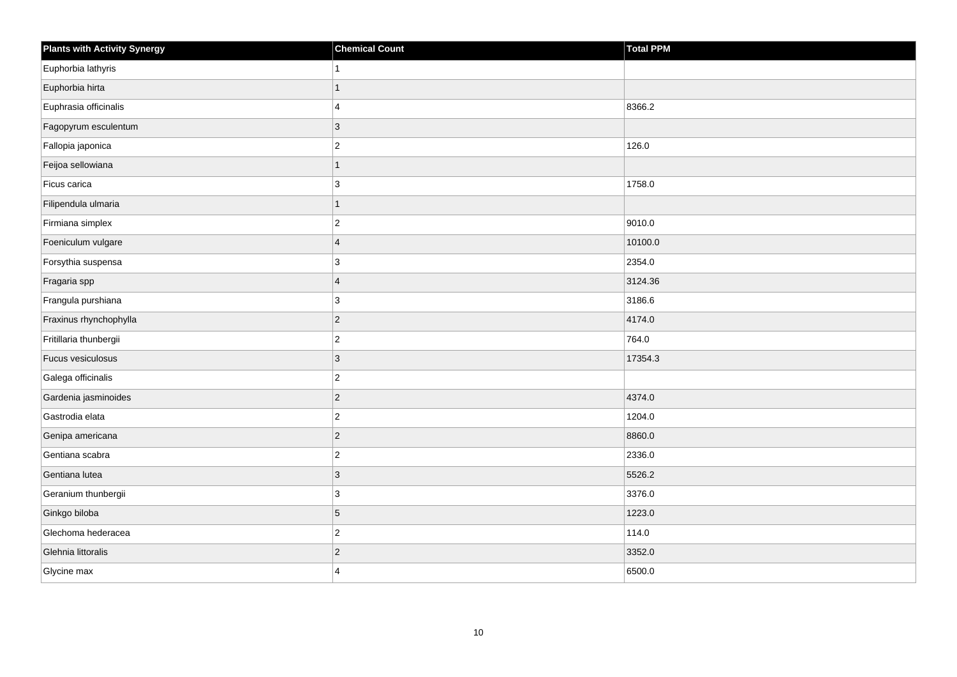| <b>Plants with Activity Synergy</b> | <b>Chemical Count</b>   | Total PPM |
|-------------------------------------|-------------------------|-----------|
| Euphorbia lathyris                  |                         |           |
| Euphorbia hirta                     |                         |           |
| Euphrasia officinalis               | 4                       | 8366.2    |
| Fagopyrum esculentum                | $\overline{3}$          |           |
| Fallopia japonica                   | $\overline{c}$          | 126.0     |
| Feijoa sellowiana                   | $\overline{1}$          |           |
| Ficus carica                        | 3                       | 1758.0    |
| Filipendula ulmaria                 | 1                       |           |
| Firmiana simplex                    | $\overline{2}$          | 9010.0    |
| Foeniculum vulgare                  | $\overline{\mathbf{A}}$ | 10100.0   |
| Forsythia suspensa                  | 3                       | 2354.0    |
| Fragaria spp                        | $\overline{4}$          | 3124.36   |
| Frangula purshiana                  | 3                       | 3186.6    |
| Fraxinus rhynchophylla              | $\overline{2}$          | 4174.0    |
| Fritillaria thunbergii              | $\overline{c}$          | 764.0     |
| Fucus vesiculosus                   | 3                       | 17354.3   |
| Galega officinalis                  | $\overline{2}$          |           |
| Gardenia jasminoides                | $\overline{2}$          | 4374.0    |
| Gastrodia elata                     | $\overline{c}$          | 1204.0    |
| Genipa americana                    | $\overline{2}$          | 8860.0    |
| Gentiana scabra                     | $\overline{2}$          | 2336.0    |
| Gentiana lutea                      | 3                       | 5526.2    |
| Geranium thunbergii                 | 3                       | 3376.0    |
| Ginkgo biloba                       | 5                       | 1223.0    |
| Glechoma hederacea                  | $\overline{c}$          | 114.0     |
| Glehnia littoralis                  | $\overline{2}$          | 3352.0    |
| Glycine max                         | 4                       | 6500.0    |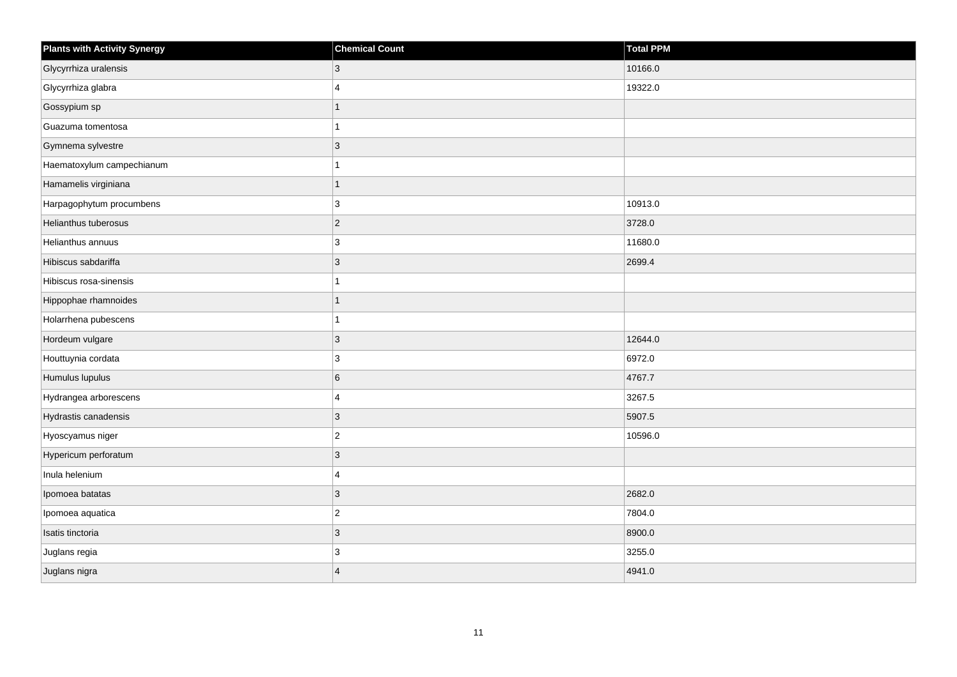| <b>Plants with Activity Synergy</b> | <b>Chemical Count</b>   | Total PPM |
|-------------------------------------|-------------------------|-----------|
| Glycyrrhiza uralensis               | 3                       | 10166.0   |
| Glycyrrhiza glabra                  | $\overline{\mathbf{4}}$ | 19322.0   |
| Gossypium sp                        | $\overline{1}$          |           |
| Guazuma tomentosa                   | 1                       |           |
| Gymnema sylvestre                   | 3                       |           |
| Haematoxylum campechianum           | 1                       |           |
| Hamamelis virginiana                | 1                       |           |
| Harpagophytum procumbens            | 3                       | 10913.0   |
| Helianthus tuberosus                | $ 2\rangle$             | 3728.0    |
| Helianthus annuus                   | 3                       | 11680.0   |
| Hibiscus sabdariffa                 | $ 3\rangle$             | 2699.4    |
| Hibiscus rosa-sinensis              | 1                       |           |
| Hippophae rhamnoides                | $\overline{1}$          |           |
| Holarrhena pubescens                | 1                       |           |
| Hordeum vulgare                     | 3                       | 12644.0   |
| Houttuynia cordata                  | 3                       | 6972.0    |
| Humulus lupulus                     | 6                       | 4767.7    |
| Hydrangea arborescens               | $\overline{4}$          | 3267.5    |
| Hydrastis canadensis                | 3                       | 5907.5    |
| Hyoscyamus niger                    | $ 2\rangle$             | 10596.0   |
| Hypericum perforatum                | 3                       |           |
| Inula helenium                      | $\overline{4}$          |           |
| Ipomoea batatas                     | $\vert 3 \vert$         | 2682.0    |
| Ipomoea aquatica                    | $ 2\rangle$             | 7804.0    |
| Isatis tinctoria                    | 3                       | 8900.0    |
| Juglans regia                       | 3                       | 3255.0    |
| Juglans nigra                       | $\overline{\mathbf{A}}$ | 4941.0    |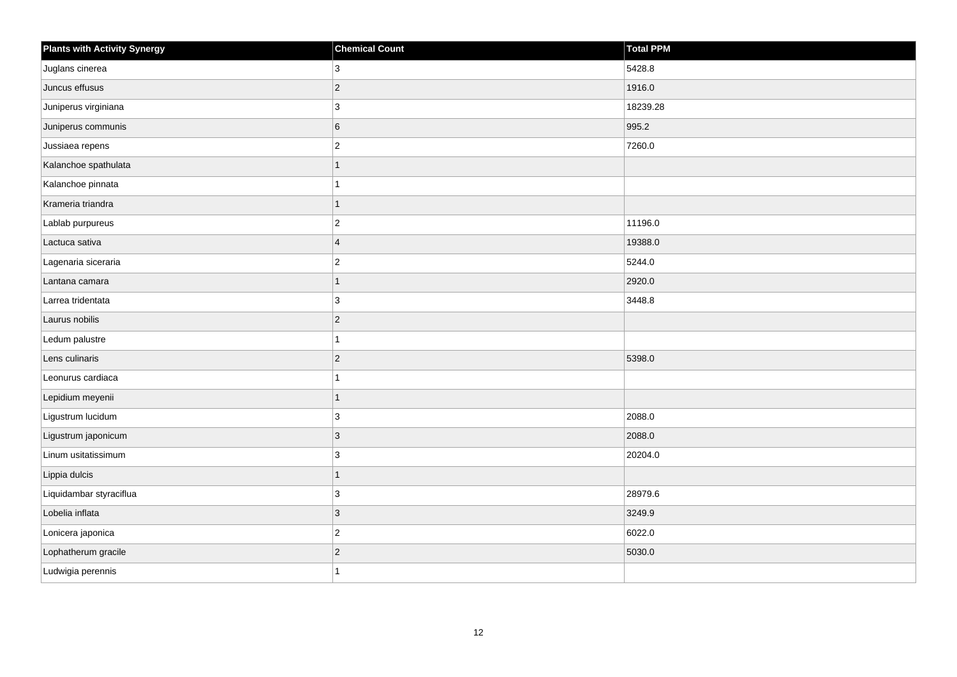| <b>Plants with Activity Synergy</b> | <b>Chemical Count</b> | <b>Total PPM</b> |
|-------------------------------------|-----------------------|------------------|
| Juglans cinerea                     | 3                     | 5428.8           |
| Juncus effusus                      | $\overline{2}$        | 1916.0           |
| Juniperus virginiana                | 3                     | 18239.28         |
| Juniperus communis                  | 6                     | 995.2            |
| Jussiaea repens                     | $\overline{c}$        | 7260.0           |
| Kalanchoe spathulata                |                       |                  |
| Kalanchoe pinnata                   |                       |                  |
| Krameria triandra                   | 1                     |                  |
| Lablab purpureus                    | $\overline{2}$        | 11196.0          |
| Lactuca sativa                      | $\overline{4}$        | 19388.0          |
| Lagenaria siceraria                 | $\overline{2}$        | 5244.0           |
| Lantana camara                      | 1                     | 2920.0           |
| Larrea tridentata                   | $\mathbf{3}$          | 3448.8           |
| Laurus nobilis                      | $\overline{2}$        |                  |
| Ledum palustre                      |                       |                  |
| Lens culinaris                      | $\overline{2}$        | 5398.0           |
| Leonurus cardiaca                   |                       |                  |
| Lepidium meyenii                    | 1                     |                  |
| Ligustrum lucidum                   | $\mathbf{3}$          | 2088.0           |
| Ligustrum japonicum                 | 3                     | 2088.0           |
| Linum usitatissimum                 | 3                     | 20204.0          |
| Lippia dulcis                       | 1                     |                  |
| Liquidambar styraciflua             | 3                     | 28979.6          |
| Lobelia inflata                     | $\overline{3}$        | 3249.9           |
| Lonicera japonica                   | $\overline{a}$        | 6022.0           |
| Lophatherum gracile                 | $\overline{2}$        | 5030.0           |
| Ludwigia perennis                   |                       |                  |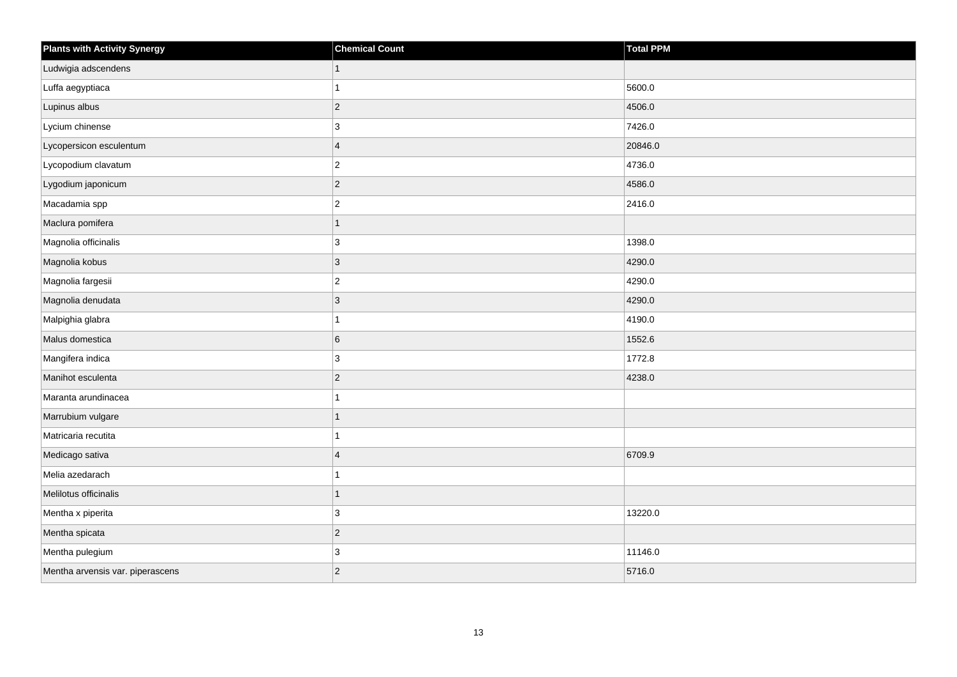| <b>Plants with Activity Synergy</b> | <b>Chemical Count</b> | Total PPM |
|-------------------------------------|-----------------------|-----------|
| Ludwigia adscendens                 |                       |           |
| Luffa aegyptiaca                    |                       | 5600.0    |
| Lupinus albus                       | $\overline{c}$        | 4506.0    |
| Lycium chinense                     | 3                     | 7426.0    |
| Lycopersicon esculentum             | $\overline{4}$        | 20846.0   |
| Lycopodium clavatum                 | $\overline{c}$        | 4736.0    |
| Lygodium japonicum                  | $\overline{2}$        | 4586.0    |
| Macadamia spp                       | $\overline{c}$        | 2416.0    |
| Maclura pomifera                    | 1                     |           |
| Magnolia officinalis                | 3                     | 1398.0    |
| Magnolia kobus                      | 3                     | 4290.0    |
| Magnolia fargesii                   | $\overline{c}$        | 4290.0    |
| Magnolia denudata                   | 3                     | 4290.0    |
| Malpighia glabra                    |                       | 4190.0    |
| Malus domestica                     | 6                     | 1552.6    |
| Mangifera indica                    | 3                     | 1772.8    |
| Manihot esculenta                   | $\overline{c}$        | 4238.0    |
| Maranta arundinacea                 |                       |           |
| Marrubium vulgare                   |                       |           |
| Matricaria recutita                 |                       |           |
| Medicago sativa                     | $\boldsymbol{\Delta}$ | 6709.9    |
| Melia azedarach                     |                       |           |
| Melilotus officinalis               |                       |           |
| Mentha x piperita                   | $\mathbf{3}$          | 13220.0   |
| Mentha spicata                      | $\overline{2}$        |           |
| Mentha pulegium                     | 3                     | 11146.0   |
| Mentha arvensis var. piperascens    | $\overline{c}$        | 5716.0    |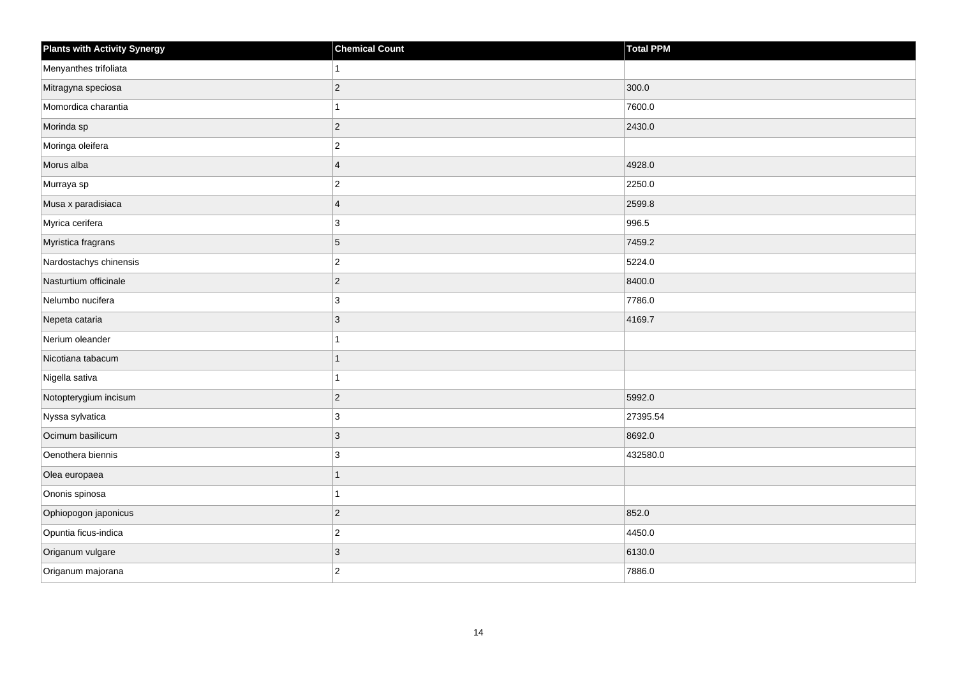| <b>Plants with Activity Synergy</b> | <b>Chemical Count</b> | Total PPM |
|-------------------------------------|-----------------------|-----------|
| Menyanthes trifoliata               |                       |           |
| Mitragyna speciosa                  | $\overline{2}$        | 300.0     |
| Momordica charantia                 |                       | 7600.0    |
| Morinda sp                          | $\overline{2}$        | 2430.0    |
| Moringa oleifera                    | $\overline{2}$        |           |
| Morus alba                          | $\overline{4}$        | 4928.0    |
| Murraya sp                          | $\overline{c}$        | 2250.0    |
| Musa x paradisiaca                  | $\overline{4}$        | 2599.8    |
| Myrica cerifera                     | 3                     | 996.5     |
| Myristica fragrans                  | 5                     | 7459.2    |
| Nardostachys chinensis              | $\overline{c}$        | 5224.0    |
| Nasturtium officinale               | $\overline{2}$        | 8400.0    |
| Nelumbo nucifera                    | $\mathbf{3}$          | 7786.0    |
| Nepeta cataria                      | 3                     | 4169.7    |
| Nerium oleander                     |                       |           |
| Nicotiana tabacum                   | 1                     |           |
| Nigella sativa                      |                       |           |
| Notopterygium incisum               | $\overline{2}$        | 5992.0    |
| Nyssa sylvatica                     | 3                     | 27395.54  |
| Ocimum basilicum                    | 3                     | 8692.0    |
| Oenothera biennis                   | 3                     | 432580.0  |
| Olea europaea                       | $\overline{1}$        |           |
| Ononis spinosa                      |                       |           |
| Ophiopogon japonicus                | $\overline{2}$        | 852.0     |
| Opuntia ficus-indica                | $\overline{2}$        | 4450.0    |
| Origanum vulgare                    | 3                     | 6130.0    |
| Origanum majorana                   | $\overline{2}$        | 7886.0    |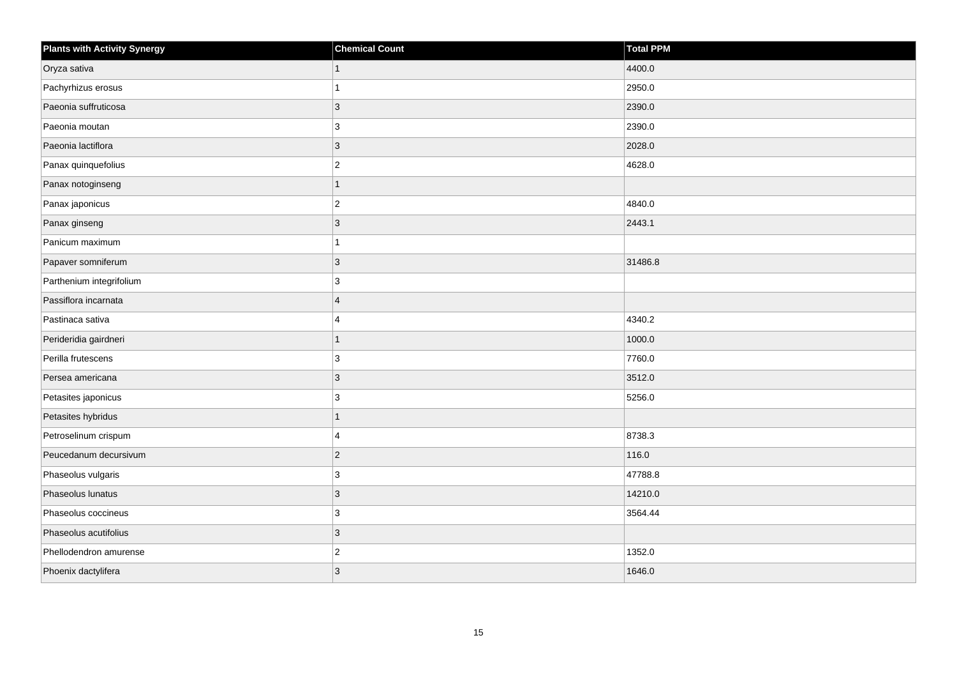| <b>Plants with Activity Synergy</b> | <b>Chemical Count</b> | Total PPM |
|-------------------------------------|-----------------------|-----------|
| Oryza sativa                        |                       | 4400.0    |
| Pachyrhizus erosus                  |                       | 2950.0    |
| Paeonia suffruticosa                | 3                     | 2390.0    |
| Paeonia moutan                      | 3                     | 2390.0    |
| Paeonia lactiflora                  | 3                     | 2028.0    |
| Panax quinquefolius                 | $\overline{2}$        | 4628.0    |
| Panax notoginseng                   | 1                     |           |
| Panax japonicus                     | $\overline{2}$        | 4840.0    |
| Panax ginseng                       | 3                     | 2443.1    |
| Panicum maximum                     |                       |           |
| Papaver somniferum                  | 3                     | 31486.8   |
| Parthenium integrifolium            | 3                     |           |
| Passiflora incarnata                | $\boldsymbol{\Delta}$ |           |
| Pastinaca sativa                    | 4                     | 4340.2    |
| Perideridia gairdneri               |                       | 1000.0    |
| Perilla frutescens                  | 3                     | 7760.0    |
| Persea americana                    | 3                     | 3512.0    |
| Petasites japonicus                 | 3                     | 5256.0    |
| Petasites hybridus                  | 1                     |           |
| Petroselinum crispum                | 4                     | 8738.3    |
| Peucedanum decursivum               | $\overline{2}$        | 116.0     |
| Phaseolus vulgaris                  | 3                     | 47788.8   |
| Phaseolus lunatus                   | 3                     | 14210.0   |
| Phaseolus coccineus                 | 3                     | 3564.44   |
| Phaseolus acutifolius               | 3                     |           |
| Phellodendron amurense              | $\overline{c}$        | 1352.0    |
| Phoenix dactylifera                 | 3                     | 1646.0    |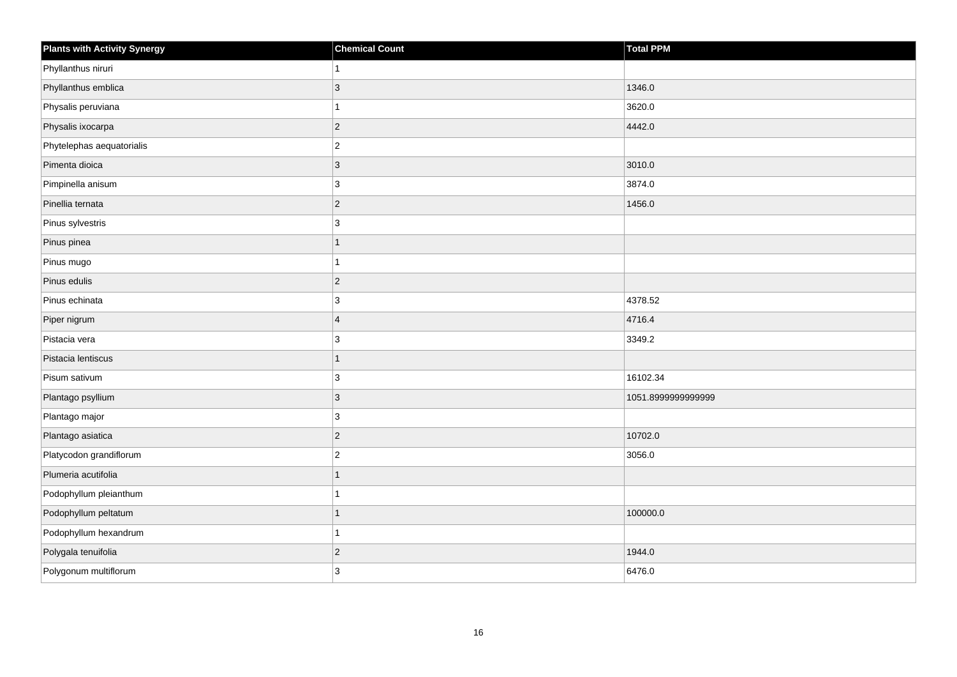| <b>Plants with Activity Synergy</b> | <b>Chemical Count</b> | <b>Total PPM</b>   |
|-------------------------------------|-----------------------|--------------------|
| Phyllanthus niruri                  |                       |                    |
| Phyllanthus emblica                 | 3                     | 1346.0             |
| Physalis peruviana                  |                       | 3620.0             |
| Physalis ixocarpa                   | $\overline{2}$        | 4442.0             |
| Phytelephas aequatorialis           | $\overline{2}$        |                    |
| Pimenta dioica                      | $\overline{3}$        | 3010.0             |
| Pimpinella anisum                   | 3                     | 3874.0             |
| Pinellia ternata                    | $\overline{c}$        | 1456.0             |
| Pinus sylvestris                    | 3                     |                    |
| Pinus pinea                         | 1                     |                    |
| Pinus mugo                          |                       |                    |
| Pinus edulis                        | $ 2\rangle$           |                    |
| Pinus echinata                      | 3                     | 4378.52            |
| Piper nigrum                        | $\overline{4}$        | 4716.4             |
| Pistacia vera                       | 3                     | 3349.2             |
| Pistacia lentiscus                  | $\overline{1}$        |                    |
| Pisum sativum                       | 3                     | 16102.34           |
| Plantago psyllium                   | 3                     | 1051.8999999999999 |
| Plantago major                      | 3                     |                    |
| Plantago asiatica                   | $\overline{2}$        | 10702.0            |
| Platycodon grandiflorum             | $\overline{2}$        | 3056.0             |
| Plumeria acutifolia                 | 1                     |                    |
| Podophyllum pleianthum              |                       |                    |
| Podophyllum peltatum                |                       | 100000.0           |
| Podophyllum hexandrum               | 1                     |                    |
| Polygala tenuifolia                 | $\overline{a}$        | 1944.0             |
| Polygonum multiflorum               | 3                     | 6476.0             |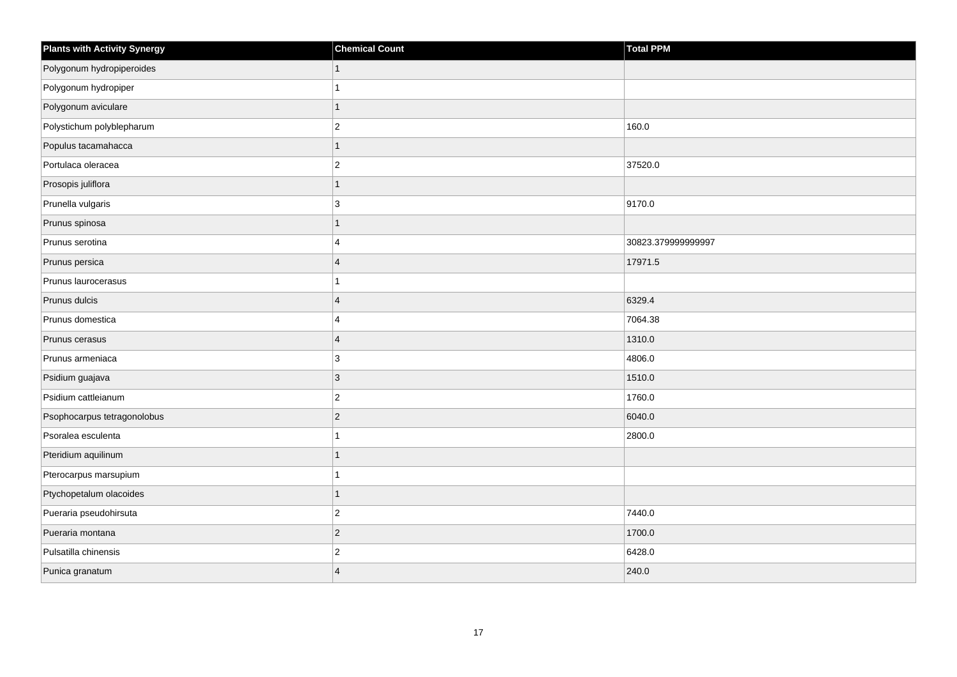| <b>Plants with Activity Synergy</b> | <b>Chemical Count</b>   | Total PPM          |
|-------------------------------------|-------------------------|--------------------|
| Polygonum hydropiperoides           |                         |                    |
| Polygonum hydropiper                |                         |                    |
| Polygonum aviculare                 |                         |                    |
| Polystichum polyblepharum           | $\overline{2}$          | 160.0              |
| Populus tacamahacca                 |                         |                    |
| Portulaca oleracea                  | $\overline{2}$          | 37520.0            |
| Prosopis juliflora                  | 1                       |                    |
| Prunella vulgaris                   | 3                       | 9170.0             |
| Prunus spinosa                      |                         |                    |
| Prunus serotina                     | $\boldsymbol{\Delta}$   | 30823.379999999997 |
| Prunus persica                      | $\overline{\mathbf{A}}$ | 17971.5            |
| Prunus laurocerasus                 |                         |                    |
| Prunus dulcis                       | $\overline{\mathbf{4}}$ | 6329.4             |
| Prunus domestica                    | 4                       | 7064.38            |
| Prunus cerasus                      | $\overline{4}$          | 1310.0             |
| Prunus armeniaca                    | 3                       | 4806.0             |
| Psidium guajava                     | 3                       | 1510.0             |
| Psidium cattleianum                 | $\overline{2}$          | 1760.0             |
| Psophocarpus tetragonolobus         | $\overline{c}$          | 6040.0             |
| Psoralea esculenta                  |                         | 2800.0             |
| Pteridium aquilinum                 |                         |                    |
| Pterocarpus marsupium               |                         |                    |
| Ptychopetalum olacoides             |                         |                    |
| Pueraria pseudohirsuta              | $\overline{2}$          | 7440.0             |
| Pueraria montana                    | $\overline{2}$          | 1700.0             |
| Pulsatilla chinensis                | $\overline{\mathbf{c}}$ | 6428.0             |
| Punica granatum                     | $\Delta$                | 240.0              |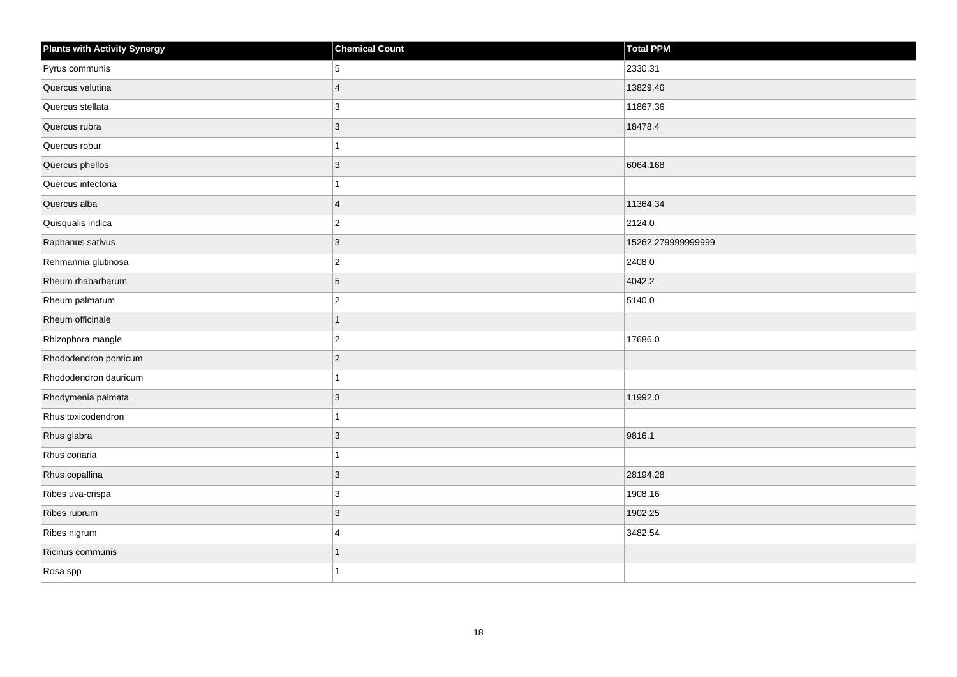| <b>Plants with Activity Synergy</b> | <b>Chemical Count</b>   | <b>Total PPM</b>   |
|-------------------------------------|-------------------------|--------------------|
| Pyrus communis                      | 5                       | 2330.31            |
| Quercus velutina                    | $\overline{\mathbf{A}}$ | 13829.46           |
| Quercus stellata                    | 3                       | 11867.36           |
| Quercus rubra                       | 3                       | 18478.4            |
| Quercus robur                       |                         |                    |
| Quercus phellos                     | $\overline{3}$          | 6064.168           |
| Quercus infectoria                  |                         |                    |
| Quercus alba                        | $\overline{4}$          | 11364.34           |
| Quisqualis indica                   | $\overline{2}$          | 2124.0             |
| Raphanus sativus                    | $\overline{3}$          | 15262.279999999999 |
| Rehmannia glutinosa                 | $\overline{2}$          | 2408.0             |
| Rheum rhabarbarum                   | 5                       | 4042.2             |
| Rheum palmatum                      | $\overline{a}$          | 5140.0             |
| Rheum officinale                    | 1                       |                    |
| Rhizophora mangle                   | $\overline{2}$          | 17686.0            |
| Rhododendron ponticum               | $\overline{2}$          |                    |
| Rhododendron dauricum               |                         |                    |
| Rhodymenia palmata                  | 3                       | 11992.0            |
| Rhus toxicodendron                  | 1                       |                    |
| Rhus glabra                         | 3                       | 9816.1             |
| Rhus coriaria                       |                         |                    |
| Rhus copallina                      | 3                       | 28194.28           |
| Ribes uva-crispa                    | 3                       | 1908.16            |
| Ribes rubrum                        | $\overline{3}$          | 1902.25            |
| Ribes nigrum                        | $\overline{\mathbf{A}}$ | 3482.54            |
| Ricinus communis                    |                         |                    |
| Rosa spp                            |                         |                    |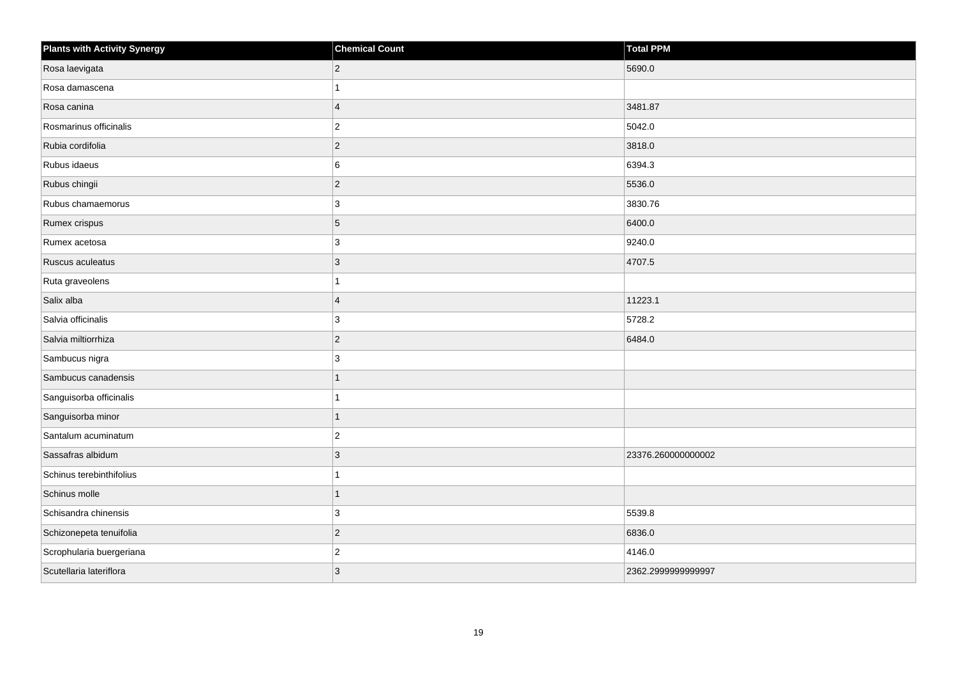| <b>Plants with Activity Synergy</b> | <b>Chemical Count</b> | <b>Total PPM</b>   |
|-------------------------------------|-----------------------|--------------------|
| Rosa laevigata                      | $ 2\rangle$           | 5690.0             |
| Rosa damascena                      | 1                     |                    |
| Rosa canina                         | $\overline{4}$        | 3481.87            |
| Rosmarinus officinalis              | $\overline{2}$        | 5042.0             |
| Rubia cordifolia                    | $ 2\rangle$           | 3818.0             |
| Rubus idaeus                        | 6                     | 6394.3             |
| Rubus chingii                       | $ 2\rangle$           | 5536.0             |
| Rubus chamaemorus                   | 3                     | 3830.76            |
| Rumex crispus                       | 5                     | 6400.0             |
| Rumex acetosa                       | 3                     | 9240.0             |
| Ruscus aculeatus                    | $\vert$ 3             | 4707.5             |
| Ruta graveolens                     | 1                     |                    |
| Salix alba                          | $\overline{4}$        | 11223.1            |
| Salvia officinalis                  | 3                     | 5728.2             |
| Salvia miltiorrhiza                 | $ 2\rangle$           | 6484.0             |
| Sambucus nigra                      | 3                     |                    |
| Sambucus canadensis                 | 1                     |                    |
| Sanguisorba officinalis             | 1                     |                    |
| Sanguisorba minor                   | $\overline{1}$        |                    |
| Santalum acuminatum                 | $ 2\rangle$           |                    |
| Sassafras albidum                   | 3                     | 23376.260000000002 |
| Schinus terebinthifolius            | 1                     |                    |
| Schinus molle                       | 1                     |                    |
| Schisandra chinensis                | 3                     | 5539.8             |
| Schizonepeta tenuifolia             | $ 2\rangle$           | 6836.0             |
| Scrophularia buergeriana            | $\overline{2}$        | 4146.0             |
| Scutellaria lateriflora             | 3                     | 2362.2999999999997 |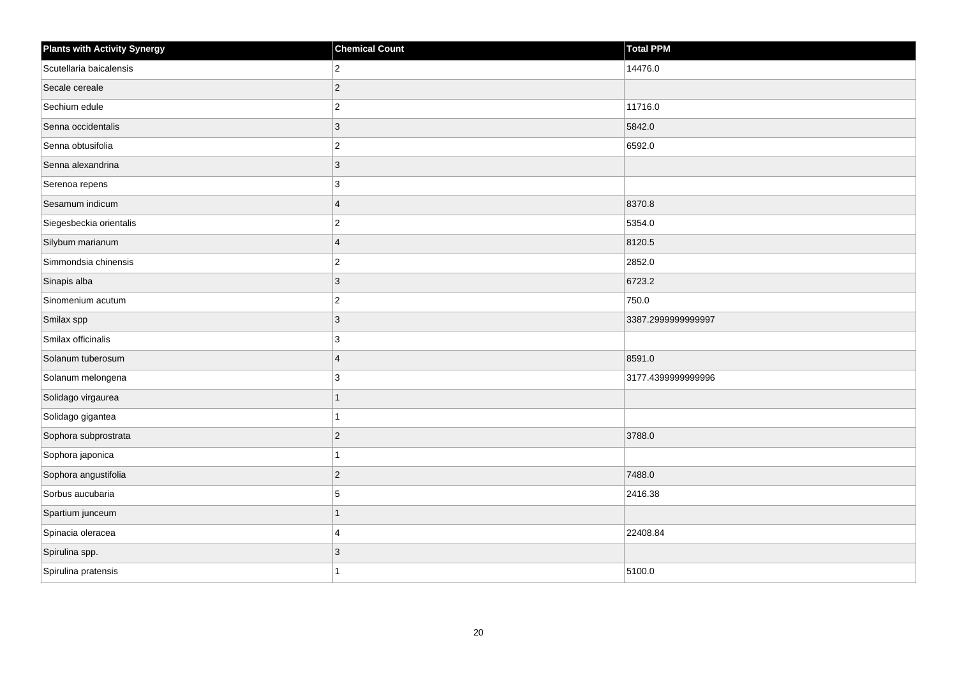| <b>Plants with Activity Synergy</b> | <b>Chemical Count</b> | <b>Total PPM</b>   |
|-------------------------------------|-----------------------|--------------------|
| Scutellaria baicalensis             | $\overline{2}$        | 14476.0            |
| Secale cereale                      | $\overline{2}$        |                    |
| Sechium edule                       | $\overline{c}$        | 11716.0            |
| Senna occidentalis                  | $\overline{3}$        | 5842.0             |
| Senna obtusifolia                   | $\overline{2}$        | 6592.0             |
| Senna alexandrina                   | $\mathbf{3}$          |                    |
| Serenoa repens                      | 3                     |                    |
| Sesamum indicum                     | $\overline{4}$        | 8370.8             |
| Siegesbeckia orientalis             | $\overline{c}$        | 5354.0             |
| Silybum marianum                    | $\overline{4}$        | 8120.5             |
| Simmondsia chinensis                | $\mathbf{2}$          | 2852.0             |
| Sinapis alba                        | $\mathbf{3}$          | 6723.2             |
| Sinomenium acutum                   | $\boldsymbol{2}$      | 750.0              |
| Smilax spp                          | 3                     | 3387.2999999999997 |
| Smilax officinalis                  | 3                     |                    |
| Solanum tuberosum                   | $\overline{4}$        | 8591.0             |
| Solanum melongena                   | 3                     | 3177.4399999999996 |
| Solidago virgaurea                  | $\overline{1}$        |                    |
| Solidago gigantea                   | 1                     |                    |
| Sophora subprostrata                | $\overline{c}$        | 3788.0             |
| Sophora japonica                    | 1                     |                    |
| Sophora angustifolia                | $\overline{c}$        | 7488.0             |
| Sorbus aucubaria                    | 5                     | 2416.38            |
| Spartium junceum                    | 1                     |                    |
| Spinacia oleracea                   | 4                     | 22408.84           |
| Spirulina spp.                      | 3                     |                    |
| Spirulina pratensis                 | 1                     | 5100.0             |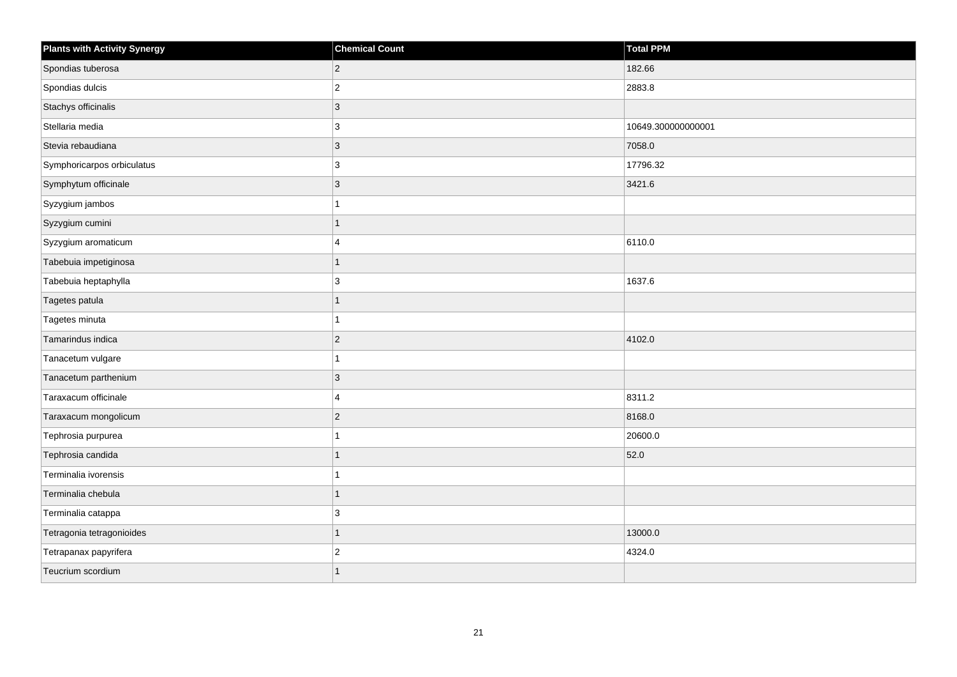| <b>Plants with Activity Synergy</b> | <b>Chemical Count</b> | <b>Total PPM</b>   |
|-------------------------------------|-----------------------|--------------------|
| Spondias tuberosa                   | $\mathbf 2$           | 182.66             |
| Spondias dulcis                     | $\overline{2}$        | 2883.8             |
| Stachys officinalis                 | $\mathbf{3}$          |                    |
| Stellaria media                     | 3                     | 10649.300000000001 |
| Stevia rebaudiana                   | $\mathbf{3}$          | 7058.0             |
| Symphoricarpos orbiculatus          | $\mathbf{3}$          | 17796.32           |
| Symphytum officinale                | $\mathbf{3}$          | 3421.6             |
| Syzygium jambos                     | 1                     |                    |
| Syzygium cumini                     | $\mathbf{1}$          |                    |
| Syzygium aromaticum                 | $\overline{4}$        | 6110.0             |
| Tabebuia impetiginosa               | $\overline{1}$        |                    |
| Tabebuia heptaphylla                | 3                     | 1637.6             |
| Tagetes patula                      | $\mathbf{1}$          |                    |
| Tagetes minuta                      | $\mathbf{1}$          |                    |
| Tamarindus indica                   | $\mathbf 2$           | 4102.0             |
| Tanacetum vulgare                   | $\mathbf{1}$          |                    |
| Tanacetum parthenium                | $\mathbf{3}$          |                    |
| Taraxacum officinale                | $\overline{4}$        | 8311.2             |
| Taraxacum mongolicum                | $\overline{c}$        | 8168.0             |
| Tephrosia purpurea                  | 1                     | 20600.0            |
| Tephrosia candida                   | $\mathbf{1}$          | 52.0               |
| Terminalia ivorensis                | $\mathbf{1}$          |                    |
| Terminalia chebula                  | 1                     |                    |
| Terminalia catappa                  | 3                     |                    |
| Tetragonia tetragonioides           | $\mathbf{1}$          | 13000.0            |
| Tetrapanax papyrifera               | $\mathbf 2$           | 4324.0             |
| Teucrium scordium                   | $\overline{1}$        |                    |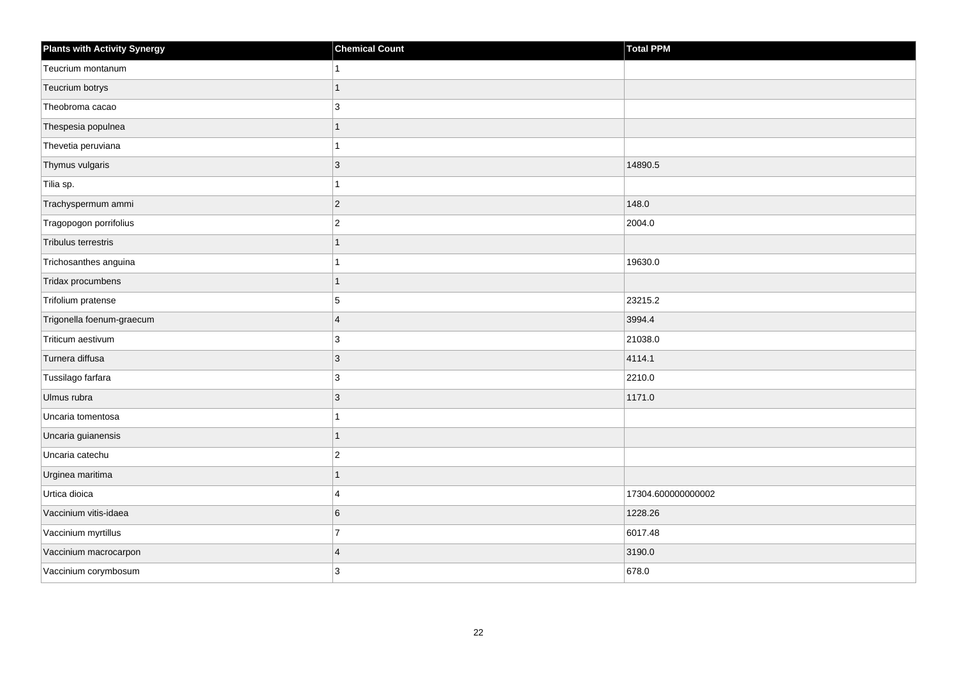| <b>Plants with Activity Synergy</b> | <b>Chemical Count</b>   | <b>Total PPM</b>   |
|-------------------------------------|-------------------------|--------------------|
| Teucrium montanum                   |                         |                    |
| Teucrium botrys                     |                         |                    |
| Theobroma cacao                     | 3                       |                    |
| Thespesia populnea                  | 1                       |                    |
| Thevetia peruviana                  |                         |                    |
| Thymus vulgaris                     | 3                       | 14890.5            |
| Tilia sp.                           |                         |                    |
| Trachyspermum ammi                  | $\overline{2}$          | 148.0              |
| Tragopogon porrifolius              | $\overline{2}$          | 2004.0             |
| Tribulus terrestris                 | 1                       |                    |
| Trichosanthes anguina               |                         | 19630.0            |
| Tridax procumbens                   |                         |                    |
| Trifolium pratense                  | 5                       | 23215.2            |
| Trigonella foenum-graecum           | $\overline{4}$          | 3994.4             |
| Triticum aestivum                   | 3                       | 21038.0            |
| Turnera diffusa                     | 3                       | 4114.1             |
| Tussilago farfara                   | 3                       | 2210.0             |
| Ulmus rubra                         | 3                       | 1171.0             |
| Uncaria tomentosa                   |                         |                    |
| Uncaria guianensis                  |                         |                    |
| Uncaria catechu                     | $\overline{2}$          |                    |
| Urginea maritima                    | 1                       |                    |
| Urtica dioica                       | 4                       | 17304.600000000002 |
| Vaccinium vitis-idaea               | 6                       | 1228.26            |
| Vaccinium myrtillus                 | $\overline{7}$          | 6017.48            |
| Vaccinium macrocarpon               | $\overline{\mathbf{A}}$ | 3190.0             |
| Vaccinium corymbosum                | 3                       | 678.0              |